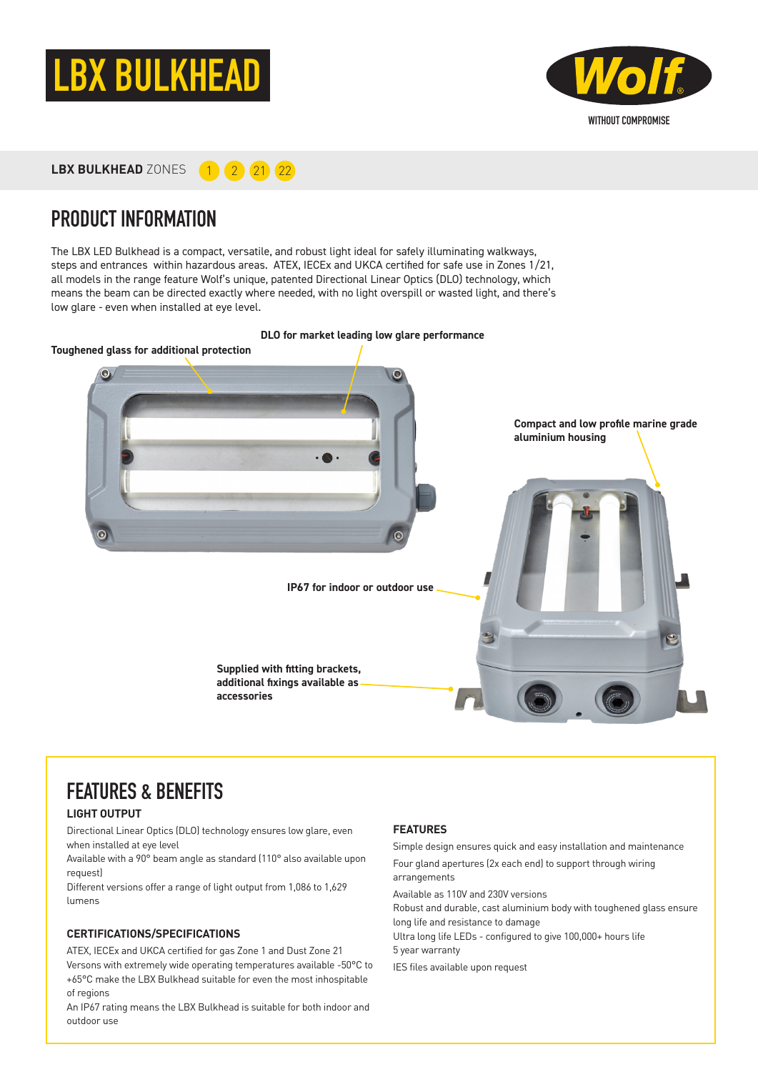



LBX BULKHEAD ZONES **1 2 21 22** 

### PRODUCT INFORMATION

The LBX LED Bulkhead is a compact, versatile, and robust light ideal for safely illuminating walkways, steps and entrances within hazardous areas. ATEX, IECEx and UKCA certified for safe use in Zones 1/21, all models in the range feature Wolf's unique, patented Directional Linear Optics (DLO) technology, which means the beam can be directed exactly where needed, with no light overspill or wasted light, and there's low glare - even when installed at eye level.

# **DLO for market leading low glare performance Toughened glass for additional protectionCompact and low profile marine grade aluminium housing**  $\odot$ **IP67 for indoor or outdoor use Supplied with fitting brackets, additional fixings available as accessories**

# FEATURES & BENEFITS

### **LIGHT OUTPUT**

Directional Linear Optics (DLO) technology ensures low glare, even when installed at eye level

Available with a 90° beam angle as standard (110° also available upon request)

Different versions offer a range of light output from 1,086 to 1,629 lumens

#### **CERTIFICATIONS/SPECIFICATIONS**

ATEX, IECEx and UKCA certified for gas Zone 1 and Dust Zone 21 Versons with extremely wide operating temperatures available -50°C to +65°C make the LBX Bulkhead suitable for even the most inhospitable of regions

An IP67 rating means the LBX Bulkhead is suitable for both indoor and outdoor use

#### **FEATURES**

Simple design ensures quick and easy installation and maintenance Four gland apertures (2x each end) to support through wiring arrangements

Available as 110V and 230V versions

Robust and durable, cast aluminium body with toughened glass ensure long life and resistance to damage

Ultra long life LEDs - configured to give 100,000+ hours life 5 year warranty

IES files available upon request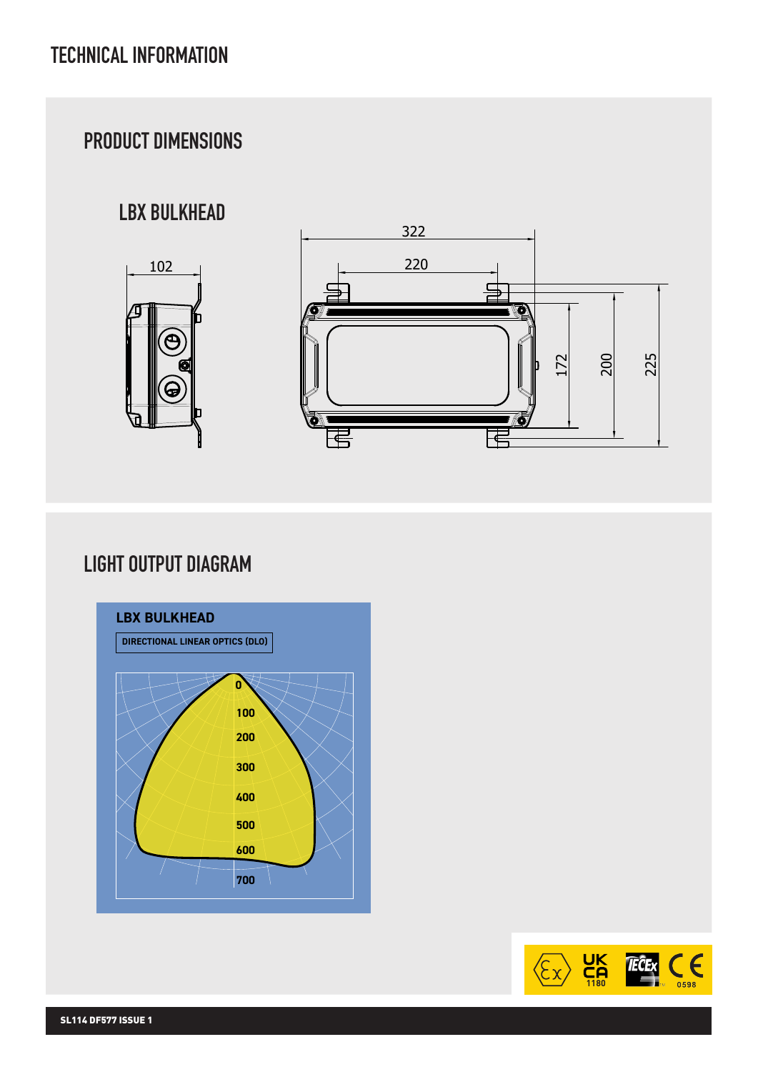# PRODUCT DIMENSIONS

# LBX BULKHEAD





### LIGHT OUTPUT DIAGRAM